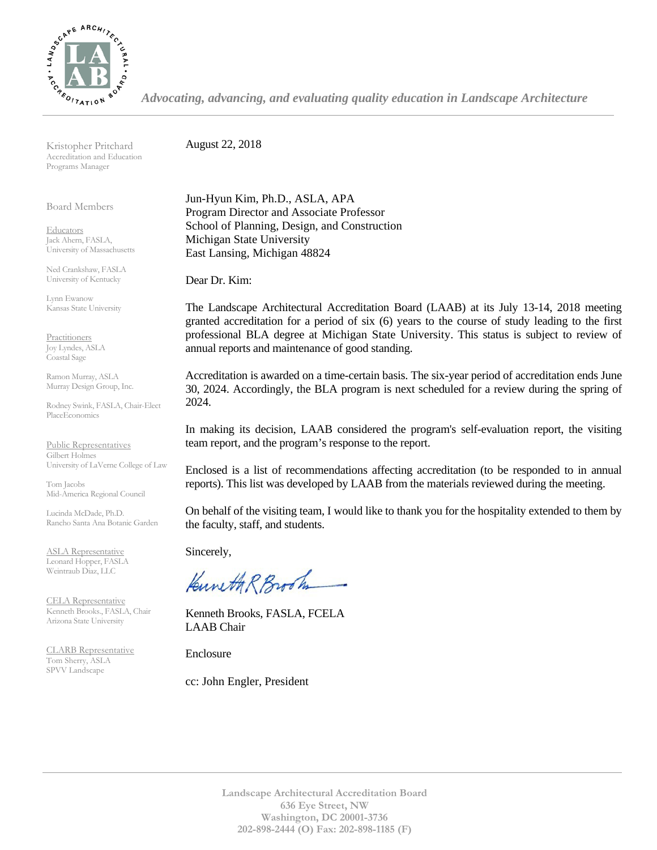

*Advocating, advancing, and evaluating quality education in Landscape Architecture*

Kristopher Pritchard Accreditation and Education Programs Manager

Board Members

**Educators** Jack Ahern, FASLA, University of Massachusetts

Ned Crankshaw, FASLA University of Kentucky

Lynn Ewanow Kansas State University

**Practitioners** Joy Lyndes, ASLA Coastal Sage

Ramon Murray, ASLA Murray Design Group, Inc.

Rodney Swink, FASLA, Chair-Elect PlaceEconomics

Public Representatives Gilbert Holmes University of LaVerne College of Law

Tom Jacobs Mid-America Regional Council

Lucinda McDade, Ph.D. Rancho Santa Ana Botanic Garden

ASLA Representative Leonard Hopper, FASLA Weintraub Diaz, LLC

CELA Representative Kenneth Brooks., FASLA, Chair Arizona State University

CLARB Representative Tom Sherry, ASLA SPVV Landscape

August 22, 2018

Jun-Hyun Kim, Ph.D., ASLA, APA Program Director and Associate Professor School of Planning, Design, and Construction Michigan State University East Lansing, Michigan 48824

Dear Dr. Kim:

The Landscape Architectural Accreditation Board (LAAB) at its July 13-14, 2018 meeting granted accreditation for a period of six (6) years to the course of study leading to the first professional BLA degree at Michigan State University. This status is subject to review of annual reports and maintenance of good standing.

Accreditation is awarded on a time-certain basis. The six-year period of accreditation ends June 30, 2024. Accordingly, the BLA program is next scheduled for a review during the spring of 2024.

In making its decision, LAAB considered the program's self-evaluation report, the visiting team report, and the program's response to the report.

Enclosed is a list of recommendations affecting accreditation (to be responded to in annual reports). This list was developed by LAAB from the materials reviewed during the meeting.

On behalf of the visiting team, I would like to thank you for the hospitality extended to them by the faculty, staff, and students.

Sincerely,

Kuneth R Brook

Kenneth Brooks, FASLA, FCELA LAAB Chair

Enclosure

cc: John Engler, President